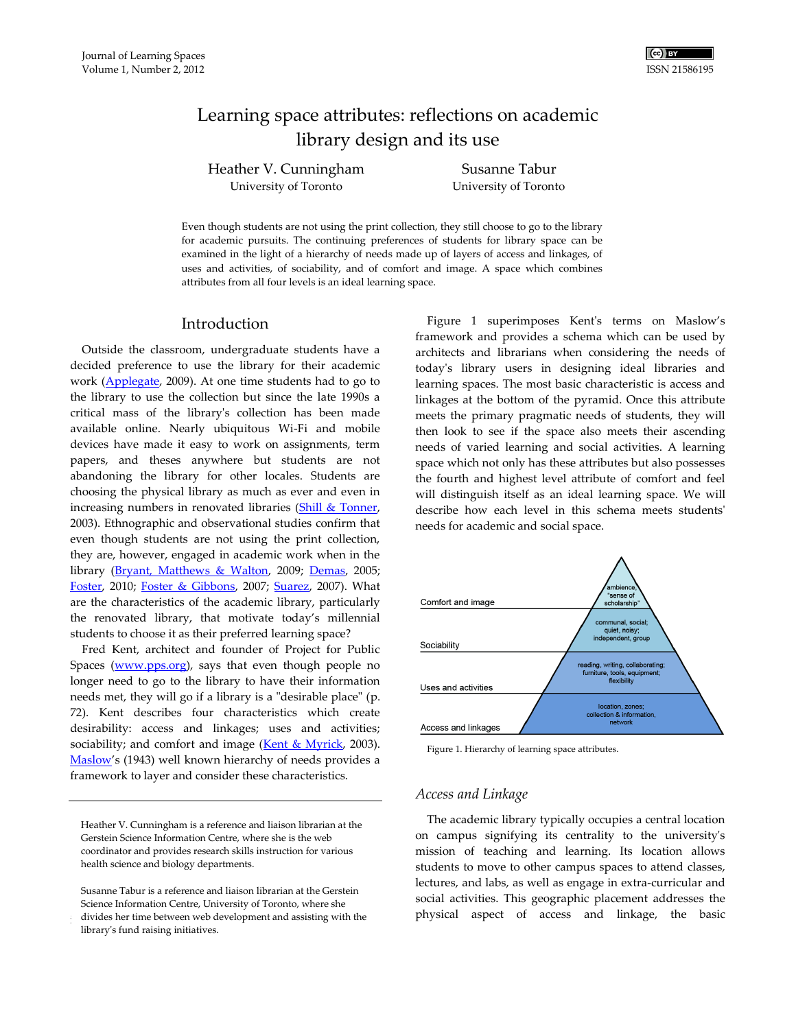# Learning space attributes: reflections on academic library design and its use

Heather V. Cunningham University of Toronto

Susanne Tabur University of Toronto

Even though students are not using the print collection, they still choose to go to the library for academic pursuits. The continuing preferences of students for library space can be examined in the light of a hierarchy of needs made up of layers of access and linkages, of uses and activities, of sociability, and of comfort and image. A space which combines attributes from all four levels is an ideal learning space.

### Introduction

Outside the classroom, undergraduate students have a decided preference to use the library for their academic work [\(Applegate,](#page-4-0) 2009). At one time students had to go to the library to use the collection but since the late 1990s a critical mass of the library's collection has been made available online. Nearly ubiquitous Wi-Fi and mobile devices have made it easy to work on assignments, term papers, and theses anywhere but students are not abandoning the library for other locales. Students are choosing the physical library as much as ever and even in increasing numbers in renovated libraries [\(Shill & Tonner,](#page-5-0) 2003). Ethnographic and observational studies confirm that even though students are not using the print collection, they are, however, engaged in academic work when in the library [\(Bryant, Matthews & Walton,](#page-4-1) 2009; [Demas,](#page-4-2) 2005; [Foster,](#page-4-3) 2010; [Foster & Gibbons,](#page-4-4) 2007; [Suarez,](#page-5-1) 2007). What are the characteristics of the academic library, particularly the renovated library, that motivate today's millennial students to choose it as their preferred learning space?

Fred Kent, architect and founder of Project for Public Spaces [\(www.pps.org\)](http://www.pps.org/), says that even though people no longer need to go to the library to have their information needs met, they will go if a library is a "desirable place" (p. 72). Kent describes four characteristics which create desirability: access and linkages; uses and activities; sociability; and comfort and image ( $Kent & Myrick$ , 2003). [Maslow](#page-5-3)'s (1943) well known hierarchy of needs provides a framework to layer and consider these characteristics.

Heather V. Cunningham is a reference and liaison librarian at the Gerstein Science Information Centre, where she is the web coordinator and provides research skills instruction for various health science and biology departments.

Figure 1 superimposes Kent's terms on Maslow's framework and provides a schema which can be used by architects and librarians when considering the needs of today's library users in designing ideal libraries and learning spaces. The most basic characteristic is access and linkages at the bottom of the pyramid. Once this attribute meets the primary pragmatic needs of students, they will then look to see if the space also meets their ascending needs of varied learning and social activities. A learning space which not only has these attributes but also possesses the fourth and highest level attribute of comfort and feel will distinguish itself as an ideal learning space. We will describe how each level in this schema meets students' needs for academic and social space.



Figure 1. Hierarchy of learning space attributes.

#### *Access and Linkage*

The academic library typically occupies a central location on campus signifying its centrality to the university's mission of teaching and learning. Its location allows students to move to other campus spaces to attend classes, lectures, and labs, as well as engage in extra-curricular and social activities. This geographic placement addresses the physical aspect of access and linkage, the basic

divides her time between web development and assisting with the Susanne Tabur is a reference and liaison librarian at the Gerstein Science Information Centre, University of Toronto, where she library's fund raising initiatives.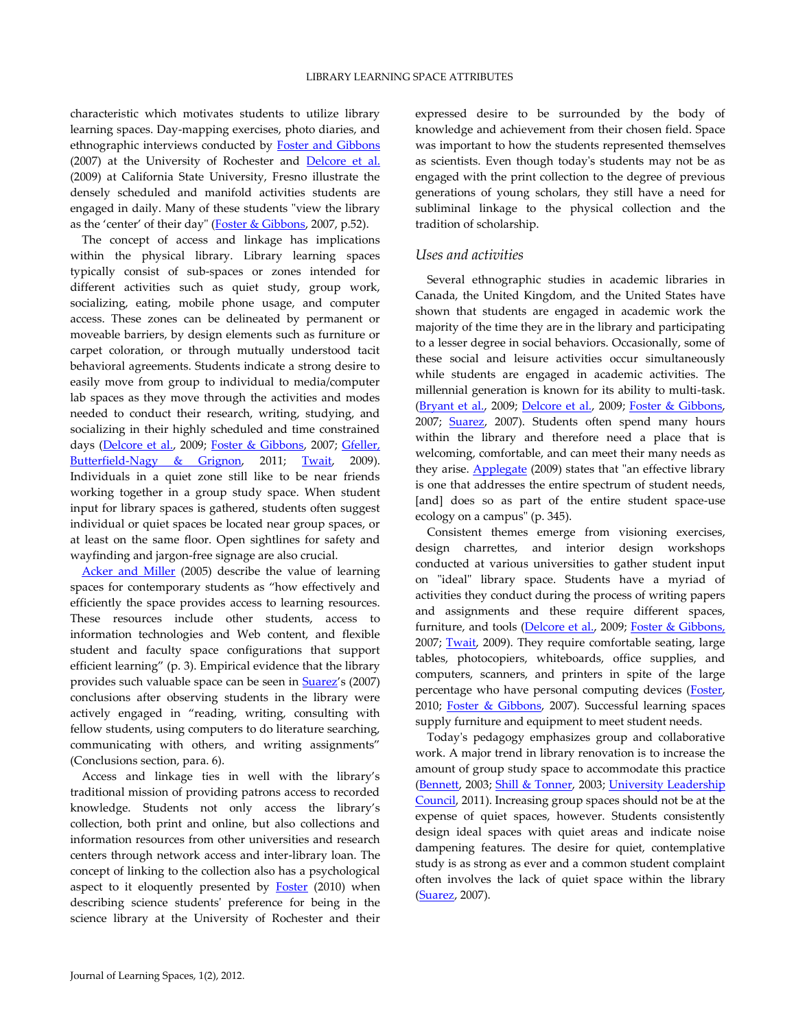characteristic which motivates students to utilize library learning spaces. Day-mapping exercises, photo diaries, and ethnographic interviews conducted by [Foster and Gibbons](#page-4-4) (2007) at the University of Rochester and [Delcore et al.](#page-4-5) (2009) at California State University, Fresno illustrate the densely scheduled and manifold activities students are engaged in daily. Many of these students "view the library as the 'center' of their day" ([Foster & Gibbons,](#page-4-4) 2007, p.52).

The concept of access and linkage has implications within the physical library. Library learning spaces typically consist of sub-spaces or zones intended for different activities such as quiet study, group work, socializing, eating, mobile phone usage, and computer access. These zones can be delineated by permanent or moveable barriers, by design elements such as furniture or carpet coloration, or through mutually understood tacit behavioral agreements. Students indicate a strong desire to easily move from group to individual to media/computer lab spaces as they move through the activities and modes needed to conduct their research, writing, studying, and socializing in their highly scheduled and time constrained days [\(Delcore et al.,](#page-4-5) 2009; [Foster & Gibbons,](#page-4-4) 2007; [Gfeller,](#page-5-4)  [Butterfield-Nagy & Grignon,](#page-5-4) 2011; [Twait,](#page-5-5) 2009). Individuals in a quiet zone still like to be near friends working together in a group study space. When student input for library spaces is gathered, students often suggest individual or quiet spaces be located near group spaces, or at least on the same floor. Open sightlines for safety and wayfinding and jargon-free signage are also crucial.

[Acker and Miller](#page-4-6) (2005) describe the value of learning spaces for contemporary students as 'how effectively and efficiently the space provides access to learning resources. These resources include other students, access to information technologies and Web content, and flexible student and faculty space configurations that support efficient learning' (p. 3). Empirical evidence that the library provides such valuable space can be seen in [Suarez](#page-5-1)'s (2007) conclusions after observing students in the library were actively engaged in 'reading, writing, consulting with fellow students, using computers to do literature searching, communicating with others, and writing assignments' (Conclusions section, para. 6).

Access and linkage ties in well with the library's traditional mission of providing patrons access to recorded knowledge. Students not only access the library's collection, both print and online, but also collections and information resources from other universities and research centers through network access and inter-library loan. The concept of linking to the collection also has a psychological aspect to it eloquently presented by  $Foster$  (2010) when describing science students' preference for being in the science library at the University of Rochester and their

expressed desire to be surrounded by the body of knowledge and achievement from their chosen field. Space was important to how the students represented themselves as scientists. Even though today's students may not be as engaged with the print collection to the degree of previous generations of young scholars, they still have a need for subliminal linkage to the physical collection and the tradition of scholarship.

#### *Uses and activities*

Several ethnographic studies in academic libraries in Canada, the United Kingdom, and the United States have shown that students are engaged in academic work the majority of the time they are in the library and participating to a lesser degree in social behaviors. Occasionally, some of these social and leisure activities occur simultaneously while students are engaged in academic activities. The millennial generation is known for its ability to multi-task. [\(Bryant et al.,](#page-4-1) 2009; [Delcore et al.,](#page-4-5) 2009; [Foster & Gibbons,](#page-4-4) 2007; [Suarez,](#page-5-1) 2007). Students often spend many hours within the library and therefore need a place that is welcoming, comfortable, and can meet their many needs as they arise. [Applegate](#page-4-0) (2009) states that "an effective library is one that addresses the entire spectrum of student needs, [and] does so as part of the entire student space-use ecology on a campus" (p. 345).

Consistent themes emerge from visioning exercises, design charrettes, and interior design workshops conducted at various universities to gather student input on "ideal" library space. Students have a myriad of activities they conduct during the process of writing papers and assignments and these require different spaces, furniture, and tools [\(Delcore et al.,](#page-4-5) 2009; [Foster & Gibbons,](#page-4-4) 2007; [Twait,](#page-5-5) 2009). They require comfortable seating, large tables, photocopiers, whiteboards, office supplies, and computers, scanners, and printers in spite of the large percentage who have personal computing devices [\(Foster,](#page-4-3) 2010; [Foster & Gibbons,](#page-4-4) 2007). Successful learning spaces supply furniture and equipment to meet student needs.

Today's pedagogy emphasizes group and collaborative work. A major trend in library renovation is to increase the amount of group study space to accommodate this practice [\(Bennett,](#page-4-7) 2003; [Shill & Tonner,](#page-5-0) 2003; [University Leadership](#page-5-6)  [Council,](#page-5-6) 2011). Increasing group spaces should not be at the expense of quiet spaces, however. Students consistently design ideal spaces with quiet areas and indicate noise dampening features. The desire for quiet, contemplative study is as strong as ever and a common student complaint often involves the lack of quiet space within the library [\(Suarez,](#page-5-1) 2007).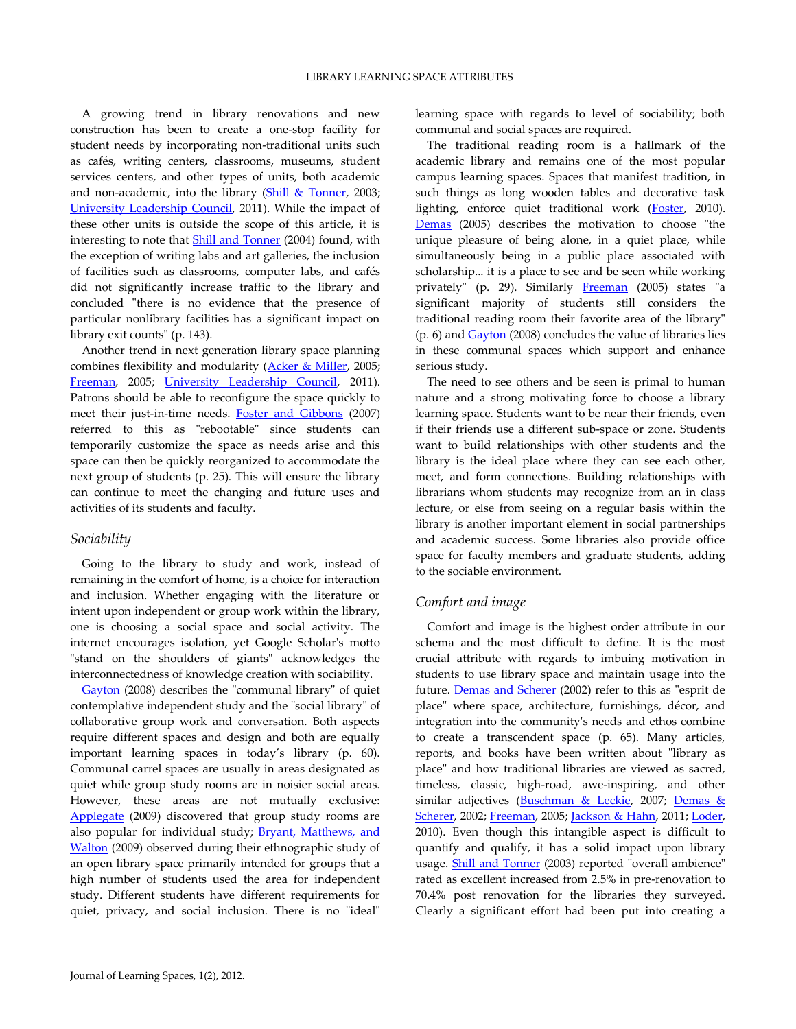A growing trend in library renovations and new construction has been to create a one-stop facility for student needs by incorporating non-traditional units such as cafés, writing centers, classrooms, museums, student services centers, and other types of units, both academic and non-academic, into the library (Shill  $&$  Tonner, 2003; [University Leadership Council,](#page-5-6) 2011). While the impact of these other units is outside the scope of this article, it is interesting to note that [Shill and Tonner](#page-5-7) (2004) found, with the exception of writing labs and art galleries, the inclusion of facilities such as classrooms, computer labs, and cafés did not significantly increase traffic to the library and concluded "there is no evidence that the presence of particular nonlibrary facilities has a significant impact on library exit counts" (p. 143).

Another trend in next generation library space planning combines flexibility and modularity [\(Acker & Miller,](#page-4-6) 2005; [Freeman,](#page-4-8) 2005; [University Leadership Council,](#page-5-6) 2011). Patrons should be able to reconfigure the space quickly to meet their just-in-time needs. [Foster and Gibbons](#page-4-4) (2007) referred to this as "rebootable" since students can temporarily customize the space as needs arise and this space can then be quickly reorganized to accommodate the next group of students (p. 25). This will ensure the library can continue to meet the changing and future uses and activities of its students and faculty.

#### *Sociability*

Going to the library to study and work, instead of remaining in the comfort of home, is a choice for interaction and inclusion. Whether engaging with the literature or intent upon independent or group work within the library, one is choosing a social space and social activity. The internet encourages isolation, yet Google Scholar's motto "stand on the shoulders of giants" acknowledges the interconnectedness of knowledge creation with sociability.

[Gayton](#page-4-9) (2008) describes the "communal library" of quiet contemplative independent study and the "social library" of collaborative group work and conversation. Both aspects require different spaces and design and both are equally important learning spaces in today's library (p. 60). Communal carrel spaces are usually in areas designated as quiet while group study rooms are in noisier social areas. However, these areas are not mutually exclusive: [Applegate](#page-4-0) (2009) discovered that group study rooms are also popular for individual study; **Bryant**, Matthews, and [Walton](#page-4-1) (2009) observed during their ethnographic study of an open library space primarily intended for groups that a high number of students used the area for independent study. Different students have different requirements for quiet, privacy, and social inclusion. There is no "ideal"

learning space with regards to level of sociability; both communal and social spaces are required.

The traditional reading room is a hallmark of the academic library and remains one of the most popular campus learning spaces. Spaces that manifest tradition, in such things as long wooden tables and decorative task lighting, enforce quiet traditional work [\(Foster,](#page-4-3) 2010). [Demas](#page-4-2) (2005) describes the motivation to choose "the unique pleasure of being alone, in a quiet place, while simultaneously being in a public place associated with scholarship... it is a place to see and be seen while working privately" (p. 29). Similarly [Freeman](#page-4-8) (2005) states "a significant majority of students still considers the traditional reading room their favorite area of the library" (p. 6) and [Gayton](#page-4-9) (2008) concludes the value of libraries lies in these communal spaces which support and enhance serious study.

The need to see others and be seen is primal to human nature and a strong motivating force to choose a library learning space. Students want to be near their friends, even if their friends use a different sub-space or zone. Students want to build relationships with other students and the library is the ideal place where they can see each other, meet, and form connections. Building relationships with librarians whom students may recognize from an in class lecture, or else from seeing on a regular basis within the library is another important element in social partnerships and academic success. Some libraries also provide office space for faculty members and graduate students, adding to the sociable environment.

#### *Comfort and image*

Comfort and image is the highest order attribute in our schema and the most difficult to define. It is the most crucial attribute with regards to imbuing motivation in students to use library space and maintain usage into the future. [Demas and Scherer](#page-4-10) (2002) refer to this as "esprit de place" where space, architecture, furnishings, décor, and integration into the community's needs and ethos combine to create a transcendent space (p. 65). Many articles, reports, and books have been written about "library as place" and how traditional libraries are viewed as sacred, timeless, classic, high-road, awe-inspiring, and other similar adjectives [\(Buschman & Leckie,](#page-4-11) 2007; Demas & [Scherer,](#page-4-10) 2002; [Freeman,](#page-4-8) 2005; [Jackson & Hahn,](#page-5-8) 2011; [Loder,](#page-5-9) 2010). Even though this intangible aspect is difficult to quantify and qualify, it has a solid impact upon library usage. [Shill and Tonner](#page-5-0) (2003) reported "overall ambience" rated as excellent increased from 2.5% in pre-renovation to 70.4% post renovation for the libraries they surveyed. Clearly a significant effort had been put into creating a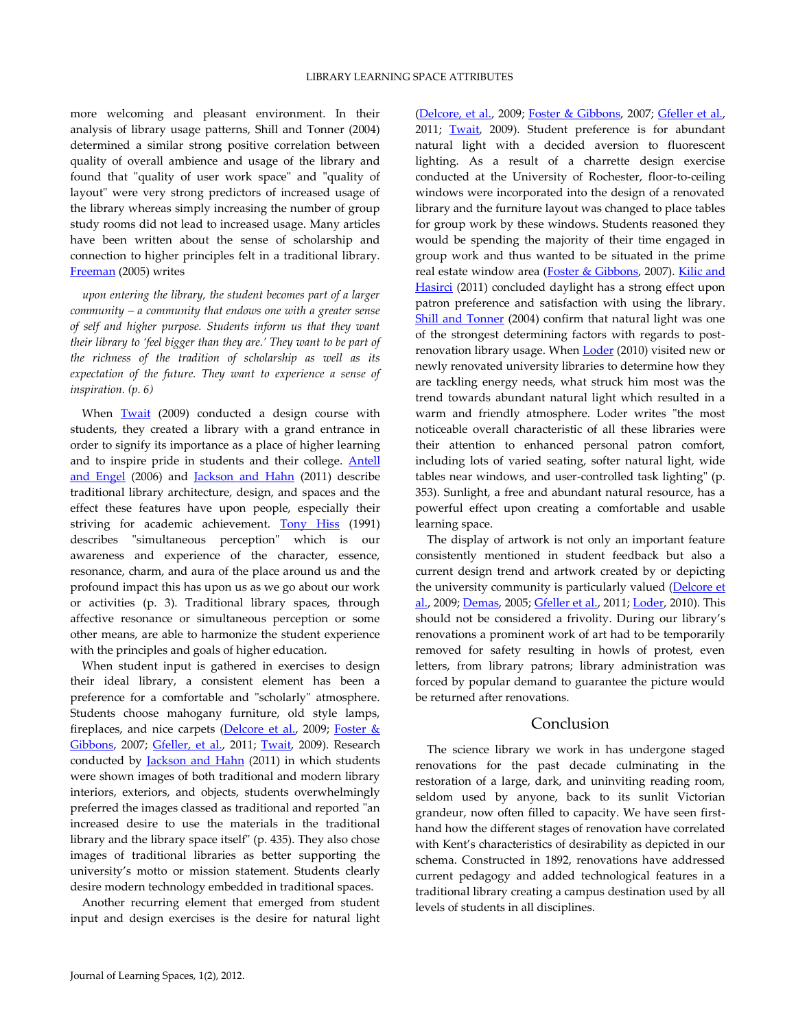more welcoming and pleasant environment. In their analysis of library usage patterns, Shill and Tonner (2004) determined a similar strong positive correlation between quality of overall ambience and usage of the library and found that "quality of user work space" and "quality of layout" were very strong predictors of increased usage of the library whereas simply increasing the number of group study rooms did not lead to increased usage. Many articles have been written about the sense of scholarship and connection to higher principles felt in a traditional library. [Freeman](#page-4-8) (2005) writes

*upon entering the library, the student becomes part of a larger community – a community that endows one with a greater sense of self and higher purpose. Students inform us that they want their library to 'feel bigger than they are.' They want to be part of the richness of the tradition of scholarship as well as its expectation of the future. They want to experience a sense of inspiration. (p. 6)*

When [Twait](#page-5-5) (2009) conducted a design course with students, they created a library with a grand entrance in order to signify its importance as a place of higher learning and to inspire pride in students and their college. [Antell](#page-4-12)  [and Engel](#page-4-12) (2006) and [Jackson and Hahn](#page-5-8) (2011) describe traditional library architecture, design, and spaces and the effect these features have upon people, especially their striving for academic achievement. [Tony Hiss](#page-5-8) (1991) describes "simultaneous perception" which is our awareness and experience of the character, essence, resonance, charm, and aura of the place around us and the profound impact this has upon us as we go about our work or activities (p. 3). Traditional library spaces, through affective resonance or simultaneous perception or some other means, are able to harmonize the student experience with the principles and goals of higher education.

When student input is gathered in exercises to design their ideal library, a consistent element has been a preference for a comfortable and "scholarly" atmosphere. Students choose mahogany furniture, old style lamps, fireplaces, and nice carpets [\(Delcore et al.,](#page-4-5) 2009; Foster & [Gibbons,](#page-4-4) 2007; [Gfeller, et al.,](#page-5-4) 2011; [Twait,](#page-5-5) 2009). Research conducted by **Jackson and Hahn** (2011) in which students were shown images of both traditional and modern library interiors, exteriors, and objects, students overwhelmingly preferred the images classed as traditional and reported "an increased desire to use the materials in the traditional library and the library space itself" (p. 435). They also chose images of traditional libraries as better supporting the university's motto or mission statement. Students clearly desire modern technology embedded in traditional spaces.

Another recurring element that emerged from student input and design exercises is the desire for natural light

[\(Delcore, et al.,](#page-4-5) 2009; [Foster & Gibbons,](#page-4-4) 2007; [Gfeller et al.,](#page-5-4) 2011; [Twait,](#page-5-5) 2009). Student preference is for abundant natural light with a decided aversion to fluorescent lighting. As a result of a charrette design exercise conducted at the University of Rochester, floor-to-ceiling windows were incorporated into the design of a renovated library and the furniture layout was changed to place tables for group work by these windows. Students reasoned they would be spending the majority of their time engaged in group work and thus wanted to be situated in the prime real estate window area [\(Foster & Gibbons,](#page-4-4) 2007). [Kilic and](#page-5-10)  [Hasirci](#page-5-10) (2011) concluded daylight has a strong effect upon patron preference and satisfaction with using the library. [Shill and Tonner](#page-5-7) (2004) confirm that natural light was one of the strongest determining factors with regards to postrenovation library usage. When **Loder** (2010) visited new or newly renovated university libraries to determine how they are tackling energy needs, what struck him most was the trend towards abundant natural light which resulted in a warm and friendly atmosphere. Loder writes "the most noticeable overall characteristic of all these libraries were their attention to enhanced personal patron comfort, including lots of varied seating, softer natural light, wide tables near windows, and user-controlled task lighting" (p. 353). Sunlight, a free and abundant natural resource, has a powerful effect upon creating a comfortable and usable learning space.

The display of artwork is not only an important feature consistently mentioned in student feedback but also a current design trend and artwork created by or depicting the university community is particularly valued (Delcore et [al.,](#page-4-5) 2009; [Demas,](#page-4-2) 2005; [Gfeller et al.,](#page-5-4) 2011; [Loder,](#page-5-9) 2010). This should not be considered a frivolity. During our library's renovations a prominent work of art had to be temporarily removed for safety resulting in howls of protest, even letters, from library patrons; library administration was forced by popular demand to guarantee the picture would be returned after renovations.

# Conclusion

The science library we work in has undergone staged renovations for the past decade culminating in the restoration of a large, dark, and uninviting reading room, seldom used by anyone, back to its sunlit Victorian grandeur, now often filled to capacity. We have seen firsthand how the different stages of renovation have correlated with Kent's characteristics of desirability as depicted in our schema. Constructed in 1892, renovations have addressed current pedagogy and added technological features in a traditional library creating a campus destination used by all levels of students in all disciplines.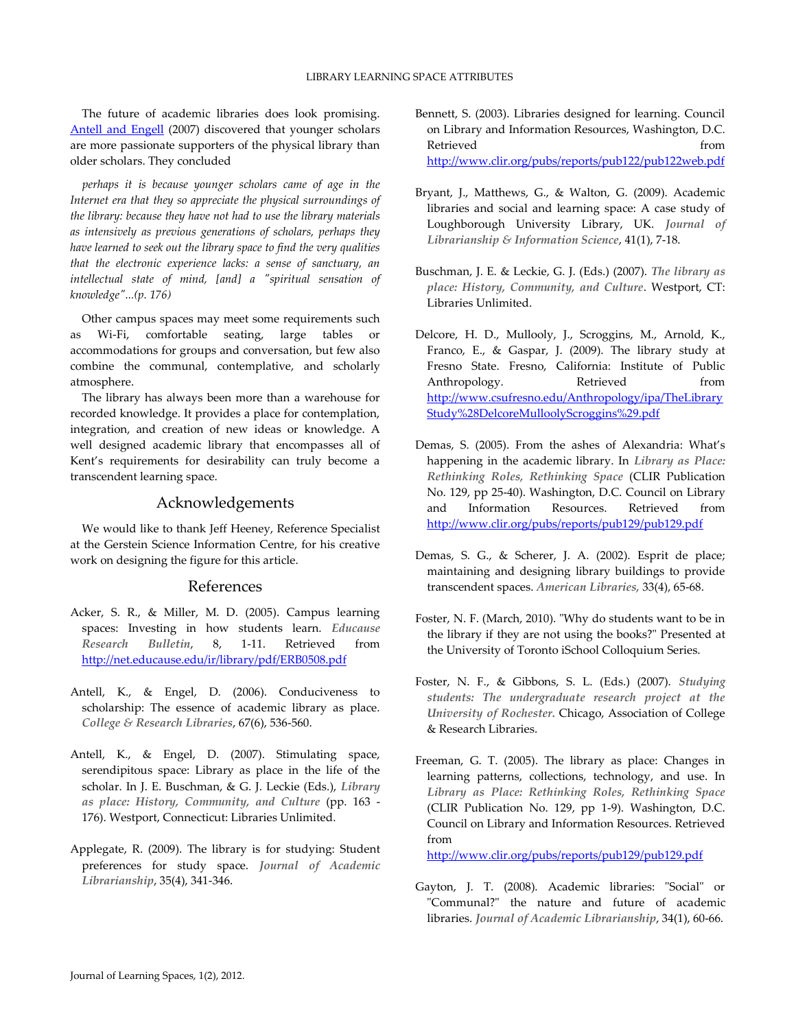The future of academic libraries does look promising. [Antell and Engell](#page-4-13) (2007) discovered that younger scholars are more passionate supporters of the physical library than older scholars. They concluded

*perhaps it is because younger scholars came of age in the Internet era that they so appreciate the physical surroundings of the library: because they have not had to use the library materials as intensively as previous generations of scholars, perhaps they have learned to seek out the library space to find the very qualities that the electronic experience lacks: a sense of sanctuary, an intellectual state of mind, [and] a "spiritual sensation of knowledge"...(p. 176)*

Other campus spaces may meet some requirements such as Wi-Fi, comfortable seating, large tables or accommodations for groups and conversation, but few also combine the communal, contemplative, and scholarly atmosphere.

The library has always been more than a warehouse for recorded knowledge. It provides a place for contemplation, integration, and creation of new ideas or knowledge. A well designed academic library that encompasses all of Kent's requirements for desirability can truly become a transcendent learning space.

# Acknowledgements

We would like to thank Jeff Heeney, Reference Specialist at the Gerstein Science Information Centre, for his creative work on designing the figure for this article.

## References

- <span id="page-4-6"></span>Acker, S. R., & Miller, M. D. (2005). Campus learning spaces: Investing in how students learn. *Educause Research Bulletin*, 8, 1-11. Retrieved from <http://net.educause.edu/ir/library/pdf/ERB0508.pdf>
- <span id="page-4-12"></span>Antell, K., & Engel, D. (2006). Conduciveness to scholarship: The essence of academic library as place. *College & Research Libraries*, 67(6), 536-560.
- <span id="page-4-13"></span>Antell, K., & Engel, D. (2007). Stimulating space, serendipitous space: Library as place in the life of the scholar. In J. E. Buschman, & G. J. Leckie (Eds.), *Library as place: History, Community, and Culture* (pp. 163 - 176). Westport, Connecticut: Libraries Unlimited.
- <span id="page-4-0"></span>Applegate, R. (2009). The library is for studying: Student preferences for study space. *Journal of Academic Librarianship*, 35(4), 341-346.
- <span id="page-4-7"></span>Bennett, S. (2003). Libraries designed for learning. Council on Library and Information Resources, Washington, D.C. Retrieved from the set of the set of the set of the set of the set of the set of the set of the set of the set of the set of the set of the set of the set of the set of the set of the set of the set of the set of the set o <http://www.clir.org/pubs/reports/pub122/pub122web.pdf>
- <span id="page-4-1"></span>Bryant, J., Matthews, G., & Walton, G. (2009). Academic libraries and social and learning space: A case study of Loughborough University Library, UK. *Journal of Librarianship & Information Science*, 41(1), 7-18.
- <span id="page-4-11"></span>Buschman, J. E. & Leckie, G. J. (Eds.) (2007). *The library as place: History, Community, and Culture*. Westport, CT: Libraries Unlimited.
- <span id="page-4-5"></span>Delcore, H. D., Mullooly, J., Scroggins, M., Arnold, K., Franco, E., & Gaspar, J. (2009). The library study at Fresno State. Fresno, California: Institute of Public Anthropology. Retrieved from [http://www.csufresno.edu/Anthropology/ipa/TheLibrary](http://www.csufresno.edu/Anthropology/ipa/TheLibraryStudy%28DelcoreMulloolyScroggins%29.pdf) [Study%28DelcoreMulloolyScroggins%29.pdf](http://www.csufresno.edu/Anthropology/ipa/TheLibraryStudy%28DelcoreMulloolyScroggins%29.pdf)
- <span id="page-4-2"></span>Demas, S. (2005). From the ashes of Alexandria: What's happening in the academic library. In *Library as Place: Rethinking Roles, Rethinking Space* (CLIR Publication No. 129, pp 25-40). Washington, D.C. Council on Library and Information Resources. Retrieved from <http://www.clir.org/pubs/reports/pub129/pub129.pdf>
- <span id="page-4-10"></span>Demas, S. G., & Scherer, J. A. (2002). Esprit de place; maintaining and designing library buildings to provide transcendent spaces. *American Libraries,* 33(4), 65-68.
- <span id="page-4-3"></span>Foster, N. F. (March, 2010). "Why do students want to be in the library if they are not using the books?" Presented at the University of Toronto iSchool Colloquium Series.
- <span id="page-4-4"></span>Foster, N. F., & Gibbons, S. L. (Eds.) (2007). *Studying students: The undergraduate research project at the University of Rochester.* Chicago, Association of College & Research Libraries.
- <span id="page-4-8"></span>Freeman, G. T. (2005). The library as place: Changes in learning patterns, collections, technology, and use. In *Library as Place: Rethinking Roles, Rethinking Space* (CLIR Publication No. 129, pp 1-9). Washington, D.C. Council on Library and Information Resources. Retrieved from

<http://www.clir.org/pubs/reports/pub129/pub129.pdf>

<span id="page-4-9"></span>Gayton, J. T. (2008). Academic libraries: "Social" or "Communal?" the nature and future of academic libraries. *Journal of Academic Librarianship*, 34(1), 60-66.